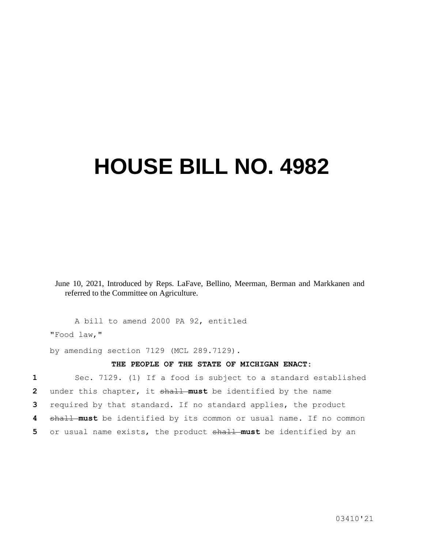## **HOUSE BILL NO. 4982**

June 10, 2021, Introduced by Reps. LaFave, Bellino, Meerman, Berman and Markkanen and referred to the Committee on Agriculture.

A bill to amend 2000 PA 92, entitled "Food law,"

by amending section 7129 (MCL 289.7129).

## **THE PEOPLE OF THE STATE OF MICHIGAN ENACT:**

 Sec. 7129. (1) If a food is subject to a standard established under this chapter, it shall **must** be identified by the name required by that standard. If no standard applies, the product shall **must** be identified by its common or usual name. If no common or usual name exists, the product shall **must** be identified by an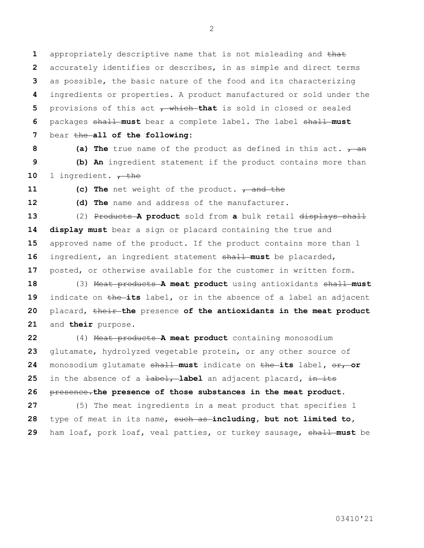appropriately descriptive name that is not misleading and that accurately identifies or describes, in as simple and direct terms as possible, the basic nature of the food and its characterizing ingredients or properties. A product manufactured or sold under the 5 provisions of this act <del>, which that</del> is sold in closed or sealed packages shall **must** bear a complete label. The label shall **must**  bear the **all of the following:**

**8 (a) The** true name of the product as defined in this act.  $\tau$  and **(b) An** ingredient statement if the product contains more than 10 1 ingredient.  $\frac{1}{10}$ 

**11 (c)** The net weight of the product.  $\frac{1}{10}$  and the

**(d) The** name and address of the manufacturer.

 (2) Products **A product** sold from **a** bulk retail displays shall **display must** bear a sign or placard containing the true and approved name of the product. If the product contains more than 1 ingredient, an ingredient statement shall **must** be placarded, posted, or otherwise available for the customer in written form.

 (3) Meat products **A meat product** using antioxidants shall **must**  19 indicate on the its label, or in the absence of a label an adjacent placard, their **the** presence **of the antioxidants in the meat product**  and **their** purpose.

 (4) Meat products **A meat product** containing monosodium glutamate, hydrolyzed vegetable protein, or any other source of monosodium glutamate shall **must** indicate on the **its** label**,** or, **or**  in the absence of a **label, label** an adjacent placard, in its presence.**the presence of those substances in the meat product.** (5) The meat ingredients in a meat product that specifies 1 type of meat in its name, such as **including, but not limited to,**  ham loaf, pork loaf, veal patties, or turkey sausage, shall **must** be